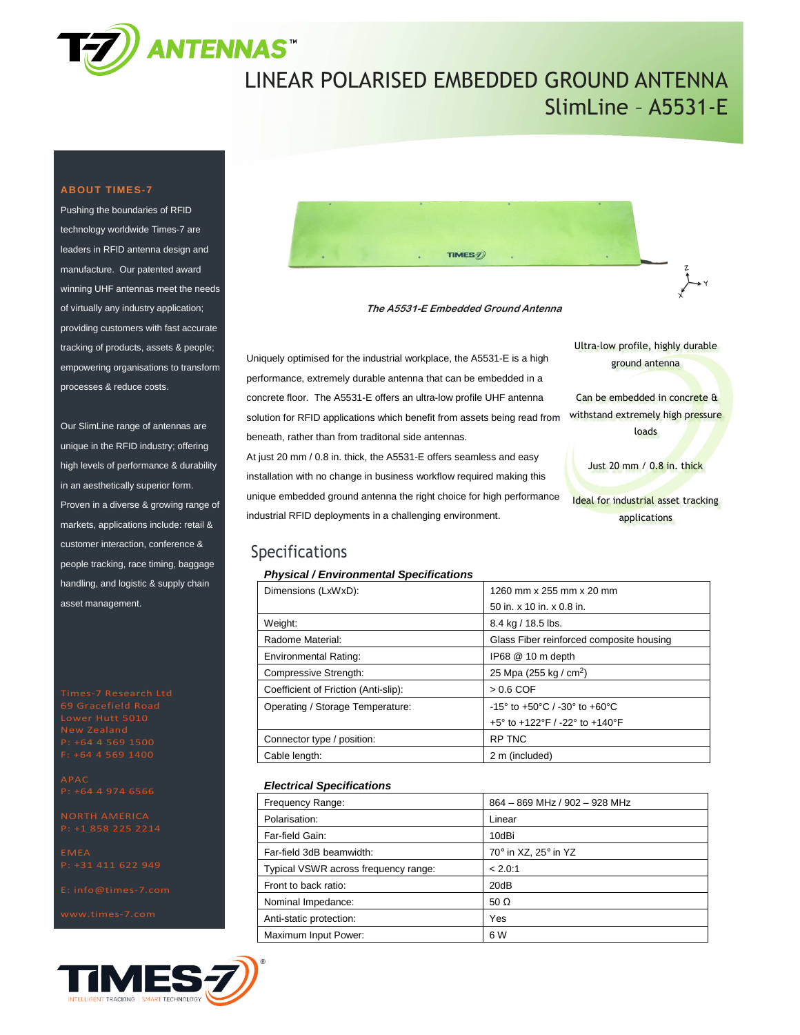

## LINEAR POLARISED EMBEDDED GROUND ANTENNA SlimLine – A5531-E

### **ABOUT TIMES-7**

Pushing the boundaries of RFID technology worldwide Times-7 are leaders in RFID antenna design and manufacture. Our patented award winning UHF antennas meet the needs of virtually any industry application; providing customers with fast accurate tracking of products, assets & people; empowering organisations to transform processes & reduce costs.

Our SlimLine range of antennas are unique in the RFID industry; offering high levels of performance & durability in an aesthetically superior form. Proven in a diverse & growing range of markets, applications include: retail & customer interaction, conference & people tracking, race timing, baggage handling, and logistic & supply chain asset management.

P: +1 858 225 2214





**The A5531-E Embedded Ground Antenna** 

Uniquely optimised for the industrial workplace, the A5531-E is a high performance, extremely durable antenna that can be embedded in a concrete floor. The A5531-E offers an ultra-low profile UHF antenna solution for RFID applications which benefit from assets being read from beneath, rather than from traditonal side antennas.

At just 20 mm / 0.8 in. thick, the A5531-E offers seamless and easy installation with no change in business workflow required making this unique embedded ground antenna the right choice for high performance industrial RFID deployments in a challenging environment.

Ultra-low profile, highly durable ground antenna

 Can be embedded in concrete & withstand extremely high pressure loads

Just 20 mm / 0.8 in. thick

Ideal for industrial asset tracking applications

### Specifications

#### **Physical / Environmental Specifications**

| Dimensions (LxWxD):                  | 1260 mm x 255 mm x 20 mm                                            |  |
|--------------------------------------|---------------------------------------------------------------------|--|
|                                      | 50 in. x 10 in. x 0.8 in.                                           |  |
| Weight:                              | 8.4 kg / 18.5 lbs.                                                  |  |
| Radome Material:                     | Glass Fiber reinforced composite housing                            |  |
| <b>Environmental Rating:</b>         | IP68 @ 10 m depth                                                   |  |
| Compressive Strength:                | 25 Mpa (255 kg / cm <sup>2</sup> )                                  |  |
| Coefficient of Friction (Anti-slip): | $> 0.6$ COF                                                         |  |
| Operating / Storage Temperature:     | $-15^{\circ}$ to $+50^{\circ}$ C / $-30^{\circ}$ to $+60^{\circ}$ C |  |
|                                      | +5° to +122°F / -22° to +140°F                                      |  |
| Connector type / position:           | <b>RP TNC</b>                                                       |  |
| Cable length:                        | 2 m (included)                                                      |  |

#### **Electrical Specifications**

| Frequency Range:                     | 864 - 869 MHz / 902 - 928 MHz |  |
|--------------------------------------|-------------------------------|--|
| Polarisation:                        | Linear                        |  |
| Far-field Gain:                      | 10dBi                         |  |
| Far-field 3dB beamwidth:             | 70° in XZ, 25° in YZ          |  |
| Typical VSWR across frequency range: | < 2.0:1                       |  |
| Front to back ratio:                 | 20dB                          |  |
| Nominal Impedance:                   | 50 $\Omega$                   |  |
| Anti-static protection:              | Yes                           |  |
| Maximum Input Power:                 | 6 W                           |  |